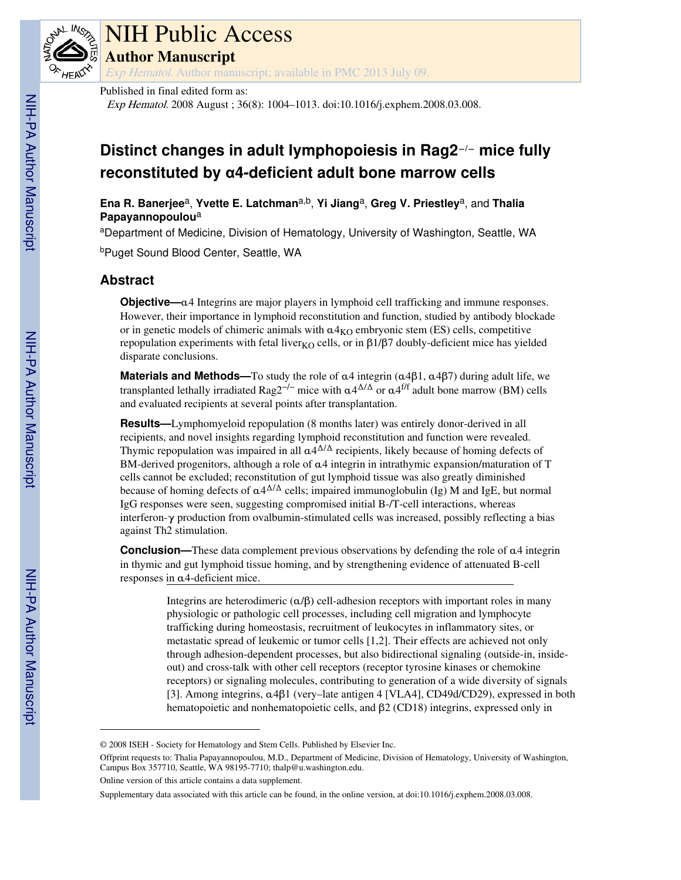

# NIH Public Access

**Author Manuscript**

Exp Hematol. Author manuscript; available in PMC 2013 July 09.

## Published in final edited form as:

Exp Hematol. 2008 August ; 36(8): 1004–1013. doi:10.1016/j.exphem.2008.03.008.

# **Distinct changes in adult lymphopoiesis in Rag2**−**/**− **mice fully reconstituted by α4-deficient adult bone marrow cells**

**Ena R. Banerjee**a, **Yvette E. Latchman**a,b, **Yi Jiang**a, **Greg V. Priestley**a, and **Thalia Papayannopoulou**<sup>a</sup>

<sup>a</sup>Department of Medicine, Division of Hematology, University of Washington, Seattle, WA

<sup>b</sup>Puget Sound Blood Center, Seattle, WA

# **Abstract**

**Objective—**α4 Integrins are major players in lymphoid cell trafficking and immune responses. However, their importance in lymphoid reconstitution and function, studied by antibody blockade or in genetic models of chimeric animals with  $\alpha$ 4<sub>KO</sub> embryonic stem (ES) cells, competitive repopulation experiments with fetal liver<sub>KO</sub> cells, or in  $\beta$ 1/β7 doubly-deficient mice has yielded disparate conclusions.

**Materials and Methods—**To study the role of α4 integrin (α4β1, α4β7) during adult life, we transplanted lethally irradiated Rag2<sup>-/-</sup> mice with  $\alpha 4^{\Delta/\Delta}$  or  $\alpha 4^{\text{f/f}}$  adult bone marrow (BM) cells and evaluated recipients at several points after transplantation.

**Results—**Lymphomyeloid repopulation (8 months later) was entirely donor-derived in all recipients, and novel insights regarding lymphoid reconstitution and function were revealed. Thymic repopulation was impaired in all  $\alpha$ 4 $\Delta/\Delta$  recipients, likely because of homing defects of BM-derived progenitors, although a role of α4 integrin in intrathymic expansion/maturation of T cells cannot be excluded; reconstitution of gut lymphoid tissue was also greatly diminished because of homing defects of  $\alpha 4^{\Delta/\Delta}$  cells; impaired immunoglobulin (Ig) M and IgE, but normal IgG responses were seen, suggesting compromised initial B-/T-cell interactions, whereas interferon-γ production from ovalbumin-stimulated cells was increased, possibly reflecting a bias against Th2 stimulation.

**Conclusion—**These data complement previous observations by defending the role of α4 integrin in thymic and gut lymphoid tissue homing, and by strengthening evidence of attenuated B-cell responses in α4-deficient mice.

> Integrins are heterodimeric  $(a/\beta)$  cell-adhesion receptors with important roles in many physiologic or pathologic cell processes, including cell migration and lymphocyte trafficking during homeostasis, recruitment of leukocytes in inflammatory sites, or metastatic spread of leukemic or tumor cells [1,2]. Their effects are achieved not only through adhesion-dependent processes, but also bidirectional signaling (outside-in, insideout) and cross-talk with other cell receptors (receptor tyrosine kinases or chemokine receptors) or signaling molecules, contributing to generation of a wide diversity of signals [3]. Among integrins, α4β1 (very–late antigen 4 [VLA4], CD49d/CD29), expressed in both hematopoietic and nonhematopoietic cells, and β2 (CD18) integrins, expressed only in

<sup>© 2008</sup> ISEH - Society for Hematology and Stem Cells. Published by Elsevier Inc.

Offprint requests to: Thalia Papayannopoulou, M.D., Department of Medicine, Division of Hematology, University of Washington, Campus Box 357710, Seattle, WA 98195-7710; thalp@u.washington.edu.

Online version of this article contains a data supplement.

Supplementary data associated with this article can be found, in the online version, at doi:10.1016/j.exphem.2008.03.008.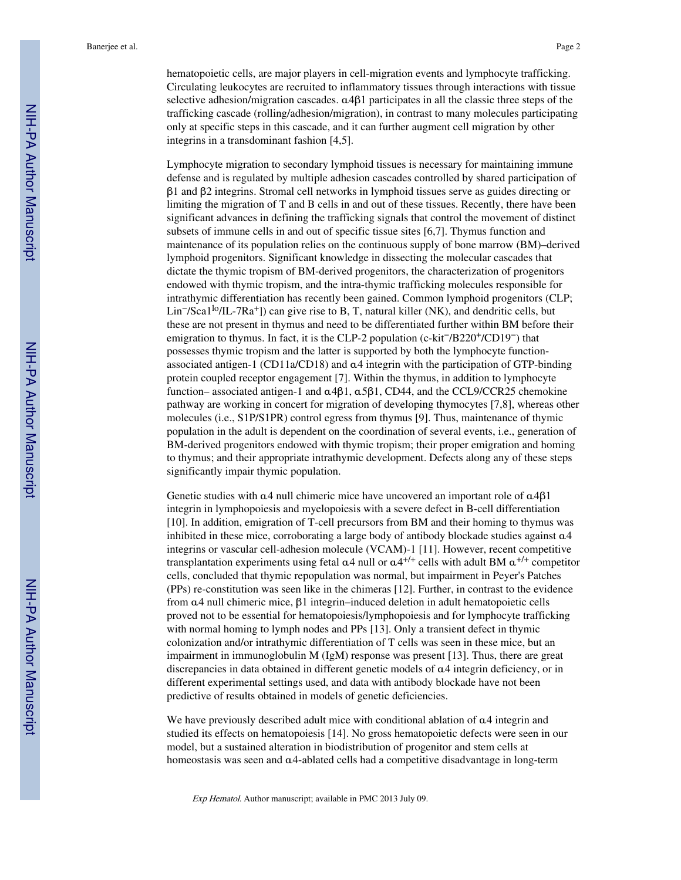hematopoietic cells, are major players in cell-migration events and lymphocyte trafficking. Circulating leukocytes are recruited to inflammatory tissues through interactions with tissue selective adhesion/migration cascades. α4β1 participates in all the classic three steps of the trafficking cascade (rolling/adhesion/migration), in contrast to many molecules participating only at specific steps in this cascade, and it can further augment cell migration by other integrins in a transdominant fashion [4,5].

Lymphocyte migration to secondary lymphoid tissues is necessary for maintaining immune defense and is regulated by multiple adhesion cascades controlled by shared participation of β1 and β2 integrins. Stromal cell networks in lymphoid tissues serve as guides directing or limiting the migration of T and B cells in and out of these tissues. Recently, there have been significant advances in defining the trafficking signals that control the movement of distinct subsets of immune cells in and out of specific tissue sites [6,7]. Thymus function and maintenance of its population relies on the continuous supply of bone marrow (BM)–derived lymphoid progenitors. Significant knowledge in dissecting the molecular cascades that dictate the thymic tropism of BM-derived progenitors, the characterization of progenitors endowed with thymic tropism, and the intra-thymic trafficking molecules responsible for intrathymic differentiation has recently been gained. Common lymphoid progenitors (CLP; Lin−/Sca1lo/IL-7Ra+]) can give rise to B, T, natural killer (NK), and dendritic cells, but these are not present in thymus and need to be differentiated further within BM before their emigration to thymus. In fact, it is the CLP-2 population (c-kit−/B220+/CD19−) that possesses thymic tropism and the latter is supported by both the lymphocyte functionassociated antigen-1 (CD11a/CD18) and α4 integrin with the participation of GTP-binding protein coupled receptor engagement [7]. Within the thymus, in addition to lymphocyte function– associated antigen-1 and α4β1, α5β1, CD44, and the CCL9/CCR25 chemokine pathway are working in concert for migration of developing thymocytes [7,8], whereas other molecules (i.e., S1P/S1PR) control egress from thymus [9]. Thus, maintenance of thymic population in the adult is dependent on the coordination of several events, i.e., generation of BM-derived progenitors endowed with thymic tropism; their proper emigration and homing to thymus; and their appropriate intrathymic development. Defects along any of these steps significantly impair thymic population.

Genetic studies with  $\alpha$ 4 null chimeric mice have uncovered an important role of  $\alpha$ 4 $\beta$ 1 integrin in lymphopoiesis and myelopoiesis with a severe defect in B-cell differentiation [10]. In addition, emigration of T-cell precursors from BM and their homing to thymus was inhibited in these mice, corroborating a large body of antibody blockade studies against α4 integrins or vascular cell-adhesion molecule (VCAM)-1 [11]. However, recent competitive transplantation experiments using fetal  $\alpha$ 4 null or  $\alpha$ 4<sup>+/+</sup> cells with adult BM  $\alpha$ <sup>+/+</sup> competitor cells, concluded that thymic repopulation was normal, but impairment in Peyer's Patches (PPs) re-constitution was seen like in the chimeras [12]. Further, in contrast to the evidence from α4 null chimeric mice, β1 integrin–induced deletion in adult hematopoietic cells proved not to be essential for hematopoiesis/lymphopoiesis and for lymphocyte trafficking with normal homing to lymph nodes and PPs [13]. Only a transient defect in thymic colonization and/or intrathymic differentiation of T cells was seen in these mice, but an impairment in immunoglobulin M (IgM) response was present [13]. Thus, there are great discrepancies in data obtained in different genetic models of α4 integrin deficiency, or in different experimental settings used, and data with antibody blockade have not been predictive of results obtained in models of genetic deficiencies.

We have previously described adult mice with conditional ablation of α4 integrin and studied its effects on hematopoiesis [14]. No gross hematopoietic defects were seen in our model, but a sustained alteration in biodistribution of progenitor and stem cells at homeostasis was seen and α4-ablated cells had a competitive disadvantage in long-term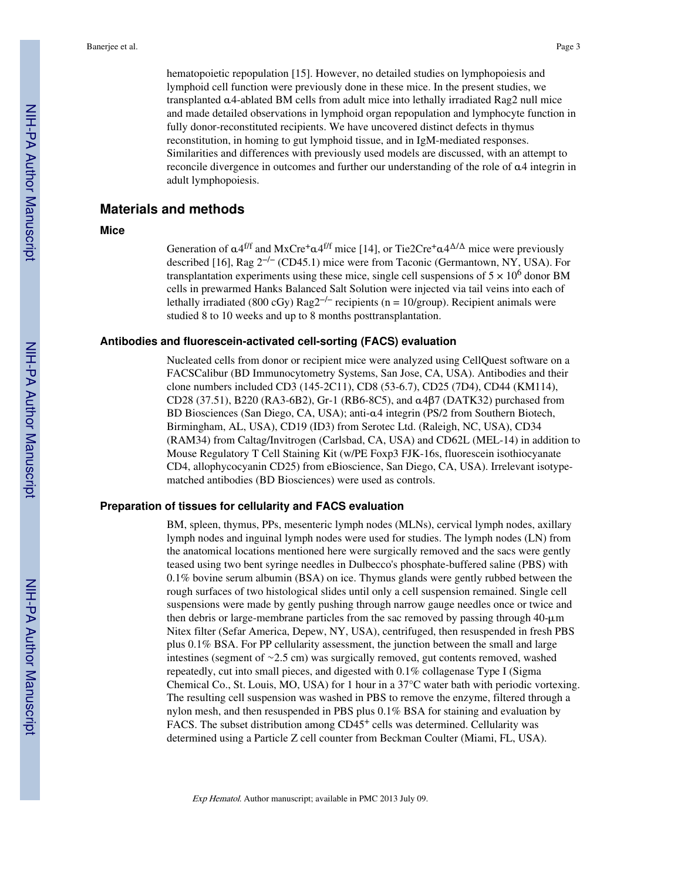hematopoietic repopulation [15]. However, no detailed studies on lymphopoiesis and lymphoid cell function were previously done in these mice. In the present studies, we transplanted α4-ablated BM cells from adult mice into lethally irradiated Rag2 null mice and made detailed observations in lymphoid organ repopulation and lymphocyte function in fully donor-reconstituted recipients. We have uncovered distinct defects in thymus reconstitution, in homing to gut lymphoid tissue, and in IgM-mediated responses. Similarities and differences with previously used models are discussed, with an attempt to reconcile divergence in outcomes and further our understanding of the role of α4 integrin in adult lymphopoiesis.

# **Materials and methods**

#### **Mice**

Generation of  $\alpha$ 4<sup>f/f</sup> and MxCre<sup>+</sup> $\alpha$ 4<sup>f/f</sup> mice [14], or Tie2Cre<sup>+</sup> $\alpha$ 4<sup> $\Delta/\Delta$ </sup> mice were previously described [16], Rag 2−/− (CD45.1) mice were from Taconic (Germantown, NY, USA). For transplantation experiments using these mice, single cell suspensions of  $5 \times 10^6$  donor BM cells in prewarmed Hanks Balanced Salt Solution were injected via tail veins into each of lethally irradiated (800 cGy) Rag2<sup>-/−</sup> recipients (n = 10/group). Recipient animals were studied 8 to 10 weeks and up to 8 months posttransplantation.

#### **Antibodies and fluorescein-activated cell-sorting (FACS) evaluation**

Nucleated cells from donor or recipient mice were analyzed using CellQuest software on a FACSCalibur (BD Immunocytometry Systems, San Jose, CA, USA). Antibodies and their clone numbers included CD3 (145-2C11), CD8 (53-6.7), CD25 (7D4), CD44 (KM114), CD28 (37.51), B220 (RA3-6B2), Gr-1 (RB6-8C5), and α4β7 (DATK32) purchased from BD Biosciences (San Diego, CA, USA); anti-α4 integrin (PS/2 from Southern Biotech, Birmingham, AL, USA), CD19 (ID3) from Serotec Ltd. (Raleigh, NC, USA), CD34 (RAM34) from Caltag/Invitrogen (Carlsbad, CA, USA) and CD62L (MEL-14) in addition to Mouse Regulatory T Cell Staining Kit (w/PE Foxp3 FJK-16s, fluorescein isothiocyanate CD4, allophycocyanin CD25) from eBioscience, San Diego, CA, USA). Irrelevant isotypematched antibodies (BD Biosciences) were used as controls.

#### **Preparation of tissues for cellularity and FACS evaluation**

BM, spleen, thymus, PPs, mesenteric lymph nodes (MLNs), cervical lymph nodes, axillary lymph nodes and inguinal lymph nodes were used for studies. The lymph nodes (LN) from the anatomical locations mentioned here were surgically removed and the sacs were gently teased using two bent syringe needles in Dulbecco's phosphate-buffered saline (PBS) with 0.1% bovine serum albumin (BSA) on ice. Thymus glands were gently rubbed between the rough surfaces of two histological slides until only a cell suspension remained. Single cell suspensions were made by gently pushing through narrow gauge needles once or twice and then debris or large-membrane particles from the sac removed by passing through 40-μm Nitex filter (Sefar America, Depew, NY, USA), centrifuged, then resuspended in fresh PBS plus 0.1% BSA. For PP cellularity assessment, the junction between the small and large intestines (segment of ∼2.5 cm) was surgically removed, gut contents removed, washed repeatedly, cut into small pieces, and digested with 0.1% collagenase Type I (Sigma Chemical Co., St. Louis, MO, USA) for 1 hour in a 37°C water bath with periodic vortexing. The resulting cell suspension was washed in PBS to remove the enzyme, filtered through a nylon mesh, and then resuspended in PBS plus 0.1% BSA for staining and evaluation by FACS. The subset distribution among CD45+ cells was determined. Cellularity was determined using a Particle Z cell counter from Beckman Coulter (Miami, FL, USA).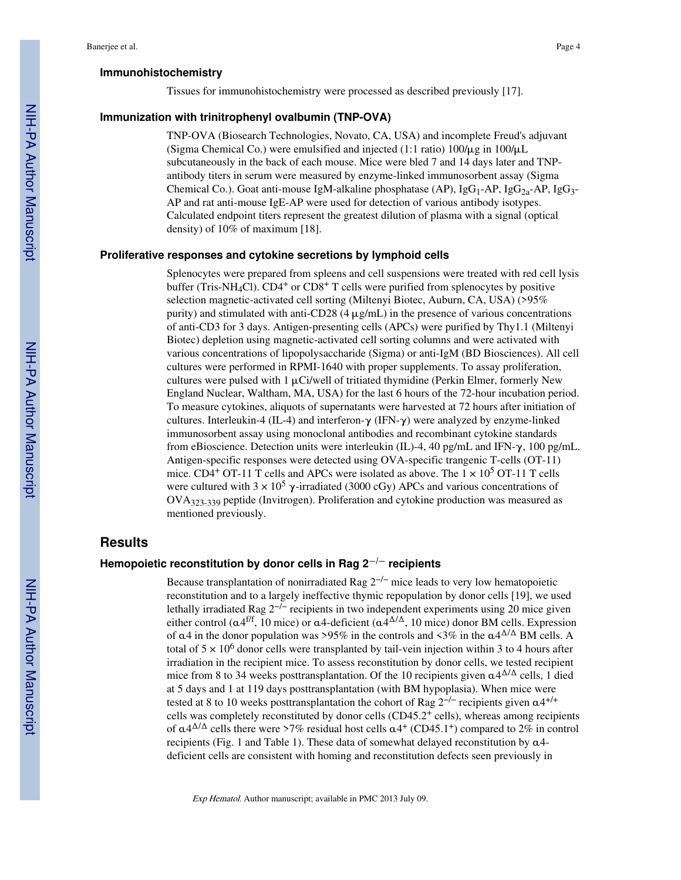#### **Immunohistochemistry**

Tissues for immunohistochemistry were processed as described previously [17].

#### **Immunization with trinitrophenyl ovalbumin (TNP-OVA)**

TNP-OVA (Biosearch Technologies, Novato, CA, USA) and incomplete Freud's adjuvant (Sigma Chemical Co.) were emulsified and injected (1:1 ratio)  $100/\mu g$  in  $100/\mu L$ subcutaneously in the back of each mouse. Mice were bled 7 and 14 days later and TNPantibody titers in serum were measured by enzyme-linked immunosorbent assay (Sigma Chemical Co.). Goat anti-mouse IgM-alkaline phosphatase (AP), IgG<sub>1</sub>-AP, IgG<sub>2a</sub>-AP, IgG<sub>3</sub>-AP and rat anti-mouse IgE-AP were used for detection of various antibody isotypes. Calculated endpoint titers represent the greatest dilution of plasma with a signal (optical density) of 10% of maximum [18].

#### **Proliferative responses and cytokine secretions by lymphoid cells**

Splenocytes were prepared from spleens and cell suspensions were treated with red cell lysis buffer (Tris-NH<sub>4</sub>Cl).  $CD4^+$  or  $CD8^+$  T cells were purified from splenocytes by positive selection magnetic-activated cell sorting (Miltenyi Biotec, Auburn, CA, USA) (>95% purity) and stimulated with anti-CD28  $(4 \mu g/mL)$  in the presence of various concentrations of anti-CD3 for 3 days. Antigen-presenting cells (APCs) were purified by Thy1.1 (Miltenyi Biotec) depletion using magnetic-activated cell sorting columns and were activated with various concentrations of lipopolysaccharide (Sigma) or anti-IgM (BD Biosciences). All cell cultures were performed in RPMI-1640 with proper supplements. To assay proliferation, cultures were pulsed with  $1 \mu$ Ci/well of tritiated thymidine (Perkin Elmer, formerly New England Nuclear, Waltham, MA, USA) for the last 6 hours of the 72-hour incubation period. To measure cytokines, aliquots of supernatants were harvested at 72 hours after initiation of cultures. Interleukin-4 (IL-4) and interferon-γ (IFN-γ) were analyzed by enzyme-linked immunosorbent assay using monoclonal antibodies and recombinant cytokine standards from eBioscience. Detection units were interleukin (IL)-4, 40 pg/mL and IFN- $\gamma$ , 100 pg/mL. Antigen-specific responses were detected using OVA-specific trangenic T-cells (OT-11) mice. CD4<sup>+</sup> OT-11 T cells and APCs were isolated as above. The  $1 \times 10^5$  OT-11 T cells were cultured with  $3 \times 10^5$   $\gamma$ -irradiated (3000 cGy) APCs and various concentrations of OVA323-339 peptide (Invitrogen). Proliferation and cytokine production was measured as mentioned previously.

#### **Results**

#### **Hemopoietic reconstitution by donor cells in Rag 2**−**/**− **recipients**

Because transplantation of nonirradiated Rag  $2^{-/-}$  mice leads to very low hematopoietic reconstitution and to a largely ineffective thymic repopulation by donor cells [19], we used lethally irradiated Rag 2−/− recipients in two independent experiments using 20 mice given either control ( $\alpha$ 4<sup>f/f</sup>, 10 mice) or  $\alpha$ 4-deficient ( $\alpha$ 4 $\Delta$ / $\Delta$ , 10 mice) donor BM cells. Expression of  $\alpha$ 4 in the donor population was >95% in the controls and <3% in the  $\alpha$ 4 $\Delta/\Delta$  BM cells. A total of  $5 \times 10^6$  donor cells were transplanted by tail-vein injection within 3 to 4 hours after irradiation in the recipient mice. To assess reconstitution by donor cells, we tested recipient mice from 8 to 34 weeks posttransplantation. Of the 10 recipients given  $\alpha$ 4 $\Delta/\Delta$  cells, 1 died at 5 days and 1 at 119 days posttransplantation (with BM hypoplasia). When mice were tested at 8 to 10 weeks posttransplantation the cohort of Rag  $2^{-/-}$  recipients given  $\alpha$ 4<sup>+/+</sup> cells was completely reconstituted by donor cells (CD45.2+ cells), whereas among recipients of  $\alpha$ 4<sup> $\Delta/\Delta$ </sup> cells there were >7% residual host cells  $\alpha$ 4<sup>+</sup> (CD45.1<sup>+</sup>) compared to 2% in control recipients (Fig. 1 and Table 1). These data of somewhat delayed reconstitution by  $\alpha$ 4deficient cells are consistent with homing and reconstitution defects seen previously in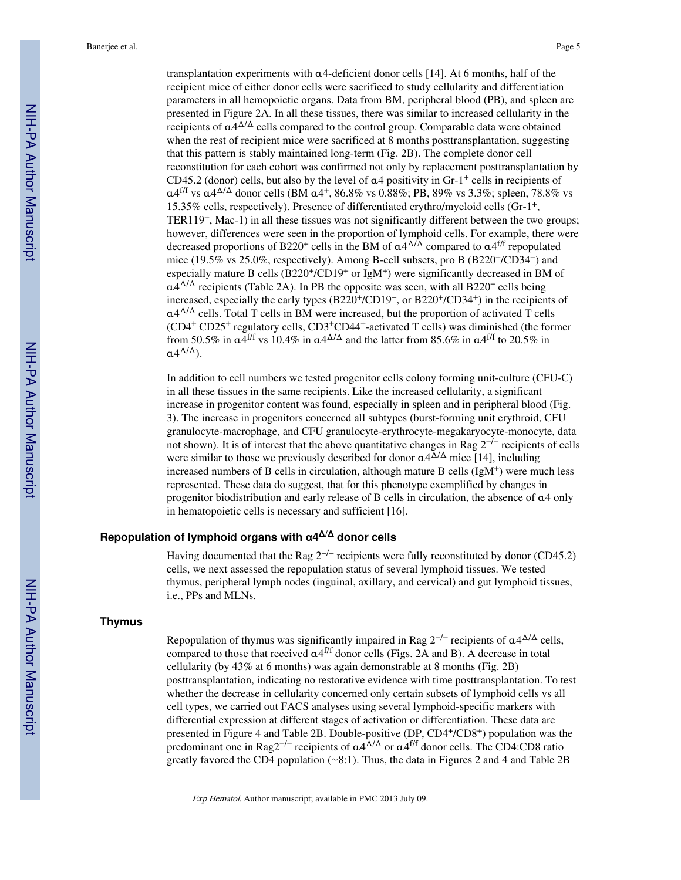transplantation experiments with α4-deficient donor cells [14]. At 6 months, half of the recipient mice of either donor cells were sacrificed to study cellularity and differentiation parameters in all hemopoietic organs. Data from BM, peripheral blood (PB), and spleen are presented in Figure 2A. In all these tissues, there was similar to increased cellularity in the recipients of  $\alpha$ 4<sup> $\Delta/\Delta$ </sup> cells compared to the control group. Comparable data were obtained when the rest of recipient mice were sacrificed at 8 months posttransplantation, suggesting that this pattern is stably maintained long-term (Fig. 2B). The complete donor cell reconstitution for each cohort was confirmed not only by replacement posttransplantation by CD45.2 (donor) cells, but also by the level of  $\alpha$ 4 positivity in Gr-1<sup>+</sup> cells in recipients of α4<sup>f/f</sup> vs α4<sup>Δ/Δ</sup> donor cells (BM α4<sup>+</sup>, 86.8% vs 0.88%; PB, 89% vs 3.3%; spleen, 78.8% vs 15.35% cells, respectively). Presence of differentiated erythro/myeloid cells (Gr-1+, TER119+, Mac-1) in all these tissues was not significantly different between the two groups; however, differences were seen in the proportion of lymphoid cells. For example, there were decreased proportions of B220<sup>+</sup> cells in the BM of  $\alpha$ 4<sup> $\Delta/\Delta$ </sup> compared to  $\alpha$ 4<sup>f/f</sup> repopulated mice (19.5% vs 25.0%, respectively). Among B-cell subsets, pro B (B220+/CD34−) and especially mature B cells (B220+/CD19+ or IgM+) were significantly decreased in BM of  $\alpha$ 4<sup> $\Delta/\Delta$ </sup> recipients (Table 2A). In PB the opposite was seen, with all B220<sup>+</sup> cells being increased, especially the early types (B220+/CD19−, or B220+/CD34+) in the recipients of  $\alpha$ 4<sup> $\Delta/\Delta$ </sup> cells. Total T cells in BM were increased, but the proportion of activated T cells (CD4+ CD25+ regulatory cells, CD3+CD44+-activated T cells) was diminished (the former from 50.5% in  $\alpha$ 4<sup>f/f</sup> vs 10.4% in  $\alpha$ 4<sup> $\Delta/\Delta$ </sup> and the latter from 85.6% in  $\alpha$ 4<sup>f/f</sup> to 20.5% in  $\alpha 4^{\Delta/\Delta}$ ).

In addition to cell numbers we tested progenitor cells colony forming unit-culture (CFU-C) in all these tissues in the same recipients. Like the increased cellularity, a significant increase in progenitor content was found, especially in spleen and in peripheral blood (Fig. 3). The increase in progenitors concerned all subtypes (burst-forming unit erythroid, CFU granulocyte-macrophage, and CFU granulocyte-erythrocyte-megakaryocyte-monocyte, data not shown). It is of interest that the above quantitative changes in Rag 2<sup>−/−</sup> recipients of cells were similar to those we previously described for donor  $\alpha 4^{\Delta/\Delta}$  mice [14], including increased numbers of B cells in circulation, although mature B cells (IgM<sup>+</sup>) were much less represented. These data do suggest, that for this phenotype exemplified by changes in progenitor biodistribution and early release of B cells in circulation, the absence of α4 only in hematopoietic cells is necessary and sufficient [16].

## **Repopulation of lymphoid organs with α4 <sup>Δ</sup>/Δ donor cells**

Having documented that the Rag  $2^{-/-}$  recipients were fully reconstituted by donor (CD45.2) cells, we next assessed the repopulation status of several lymphoid tissues. We tested thymus, peripheral lymph nodes (inguinal, axillary, and cervical) and gut lymphoid tissues, i.e., PPs and MLNs.

#### **Thymus**

Repopulation of thymus was significantly impaired in Rag  $2^{-/-}$  recipients of  $\alpha 4^{\Delta/\Delta}$  cells, compared to those that received  $\alpha$ 4<sup>f/f</sup> donor cells (Figs. 2A and B). A decrease in total cellularity (by 43% at 6 months) was again demonstrable at 8 months (Fig. 2B) posttransplantation, indicating no restorative evidence with time posttransplantation. To test whether the decrease in cellularity concerned only certain subsets of lymphoid cells vs all cell types, we carried out FACS analyses using several lymphoid-specific markers with differential expression at different stages of activation or differentiation. These data are presented in Figure 4 and Table 2B. Double-positive (DP, CD4+/CD8+) population was the predominant one in Rag2<sup>-/−</sup> recipients of  $\alpha$ 4<sup> $\Delta/\Delta$ </sup> or  $\alpha$ 4<sup>f/f</sup> donor cells. The CD4:CD8 ratio greatly favored the CD4 population (∼8:1). Thus, the data in Figures 2 and 4 and Table 2B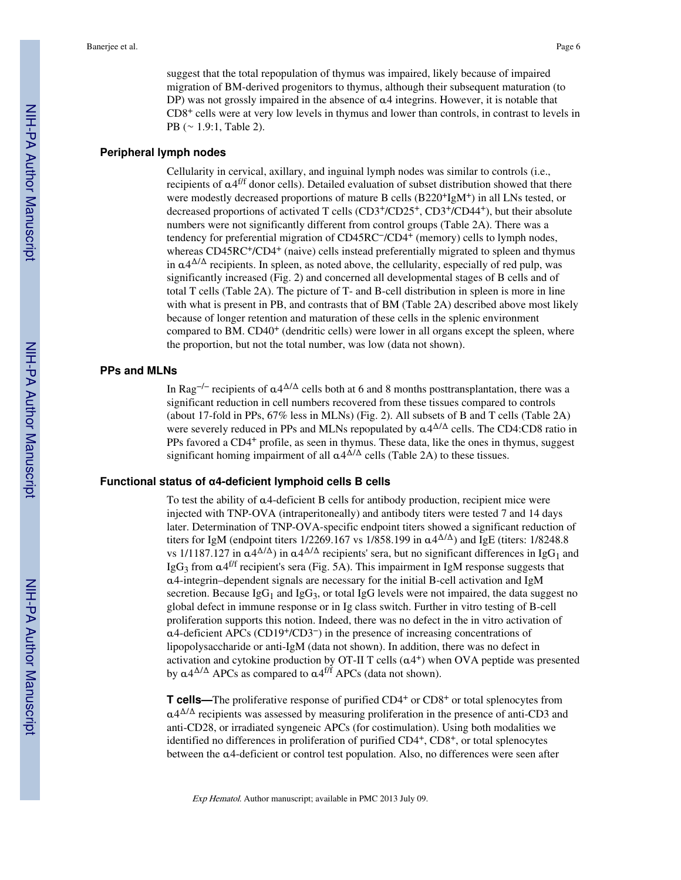suggest that the total repopulation of thymus was impaired, likely because of impaired migration of BM-derived progenitors to thymus, although their subsequent maturation (to DP) was not grossly impaired in the absence of  $\alpha$ 4 integrins. However, it is notable that CD8+ cells were at very low levels in thymus and lower than controls, in contrast to levels in PB (∼ 1.9:1, Table 2).

#### **Peripheral lymph nodes**

Cellularity in cervical, axillary, and inguinal lymph nodes was similar to controls (i.e., recipients of α4<sup>f/f</sup> donor cells). Detailed evaluation of subset distribution showed that there were modestly decreased proportions of mature B cells (B220<sup>+</sup>IgM<sup>+</sup>) in all LNs tested, or decreased proportions of activated T cells (CD3+/CD25+, CD3+/CD44+), but their absolute numbers were not significantly different from control groups (Table 2A). There was a tendency for preferential migration of CD45RC−/CD4+ (memory) cells to lymph nodes, whereas CD45RC<sup>+</sup>/CD4<sup>+</sup> (naive) cells instead preferentially migrated to spleen and thymus in  $\alpha$ 4 $\Delta/\Delta$  recipients. In spleen, as noted above, the cellularity, especially of red pulp, was significantly increased (Fig. 2) and concerned all developmental stages of B cells and of total T cells (Table 2A). The picture of T- and B-cell distribution in spleen is more in line with what is present in PB, and contrasts that of BM (Table 2A) described above most likely because of longer retention and maturation of these cells in the splenic environment compared to BM.  $CD40<sup>+</sup>$  (dendritic cells) were lower in all organs except the spleen, where the proportion, but not the total number, was low (data not shown).

#### **PPs and MLNs**

In Rag<sup>-/−</sup> recipients of α4<sup>Δ/Δ</sup> cells both at 6 and 8 months posttransplantation, there was a significant reduction in cell numbers recovered from these tissues compared to controls (about 17-fold in PPs, 67% less in MLNs) (Fig. 2). All subsets of B and T cells (Table 2A) were severely reduced in PPs and MLNs repopulated by  $\alpha$ 4<sup>Δ/Δ</sup> cells. The CD4:CD8 ratio in PPs favored a CD4+ profile, as seen in thymus. These data, like the ones in thymus, suggest significant homing impairment of all  $\alpha$ 4<sup> $\Delta/\Delta$ </sup> cells (Table 2A) to these tissues.

#### **Functional status of α4-deficient lymphoid cells B cells**

To test the ability of α4-deficient B cells for antibody production, recipient mice were injected with TNP-OVA (intraperitoneally) and antibody titers were tested 7 and 14 days later. Determination of TNP-OVA-specific endpoint titers showed a significant reduction of titers for IgM (endpoint titers 1/2269.167 vs 1/858.199 in  $\alpha$ 4 $\Delta$ ) and IgE (titers: 1/8248.8 vs 1/1187.127 in  $\alpha$ 4 $\Delta/\Delta$ ) in  $\alpha$ 4 $\Delta/\Delta$  recipients' sera, but no significant differences in IgG<sub>1</sub> and IgG<sub>3</sub> from  $\alpha$ 4<sup>f/f</sup> recipient's sera (Fig. 5A). This impairment in IgM response suggests that α4-integrin–dependent signals are necessary for the initial B-cell activation and IgM secretion. Because IgG<sub>1</sub> and IgG<sub>3</sub>, or total IgG levels were not impaired, the data suggest no global defect in immune response or in Ig class switch. Further in vitro testing of B-cell proliferation supports this notion. Indeed, there was no defect in the in vitro activation of α4-deficient APCs (CD19+/CD3−) in the presence of increasing concentrations of lipopolysaccharide or anti-IgM (data not shown). In addition, there was no defect in activation and cytokine production by OT-II T cells  $(a4^+)$  when OVA peptide was presented by  $\alpha$ 4<sup> $\Delta/\Delta$ </sup> APCs as compared to  $\alpha$ <sup>4f/f</sup> APCs (data not shown).

**T cells—**The proliferative response of purified CD4<sup>+</sup> or CD8<sup>+</sup> or total splenocytes from α4 <sup>Δ</sup>/Δ recipients was assessed by measuring proliferation in the presence of anti-CD3 and anti-CD28, or irradiated syngeneic APCs (for costimulation). Using both modalities we identified no differences in proliferation of purified CD4+, CD8+, or total splenocytes between the α4-deficient or control test population. Also, no differences were seen after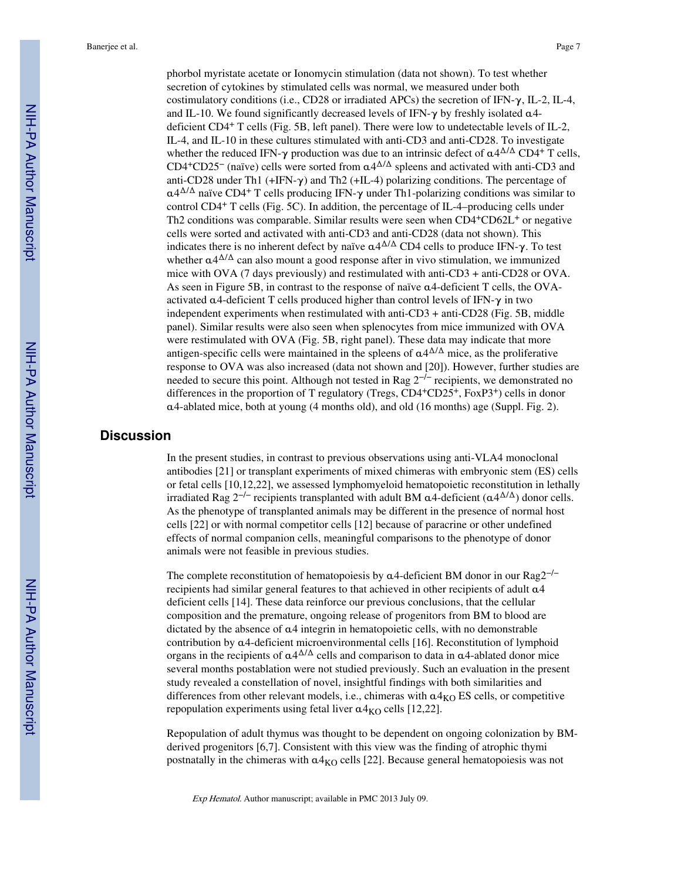phorbol myristate acetate or Ionomycin stimulation (data not shown). To test whether secretion of cytokines by stimulated cells was normal, we measured under both costimulatory conditions (i.e., CD28 or irradiated APCs) the secretion of IFN- $\gamma$ , IL-2, IL-4, and IL-10. We found significantly decreased levels of IFN- $\gamma$  by freshly isolated  $\alpha$ 4deficient CD4+ T cells (Fig. 5B, left panel). There were low to undetectable levels of IL-2, IL-4, and IL-10 in these cultures stimulated with anti-CD3 and anti-CD28. To investigate whether the reduced IFN- $\gamma$  production was due to an intrinsic defect of  $\alpha 4^{\Delta/\Delta}$  CD4<sup>+</sup> T cells, CD4<sup>+</sup>CD25<sup>-</sup> (naïve) cells were sorted from  $\alpha$ 4<sup> $\Delta/\Delta$ </sup> spleens and activated with anti-CD3 and anti-CD28 under Th1 (+IFN-γ) and Th2 (+IL-4) polarizing conditions. The percentage of  $\alpha$ 4<sup> $\Delta/\Delta$ </sup> naïve CD4<sup>+</sup> T cells producing IFN- $\gamma$  under Th1-polarizing conditions was similar to control CD4+ T cells (Fig. 5C). In addition, the percentage of IL-4–producing cells under Th2 conditions was comparable. Similar results were seen when CD4+CD62L+ or negative cells were sorted and activated with anti-CD3 and anti-CD28 (data not shown). This indicates there is no inherent defect by naïve  $\alpha 4^{\Delta/\Delta}$  CD4 cells to produce IFN- $\gamma$ . To test whether  $\alpha$ 4<sup> $\Delta/\Delta$ </sup> can also mount a good response after in vivo stimulation, we immunized mice with OVA (7 days previously) and restimulated with anti-CD3 + anti-CD28 or OVA. As seen in Figure 5B, in contrast to the response of naïve α4-deficient T cells, the OVAactivated  $\alpha$ 4-deficient T cells produced higher than control levels of IFN- $\gamma$  in two independent experiments when restimulated with anti-CD3 + anti-CD28 (Fig. 5B, middle panel). Similar results were also seen when splenocytes from mice immunized with OVA were restimulated with OVA (Fig. 5B, right panel). These data may indicate that more antigen-specific cells were maintained in the spleens of  $\alpha 4^{\Delta/\Delta}$  mice, as the proliferative response to OVA was also increased (data not shown and [20]). However, further studies are needed to secure this point. Although not tested in Rag 2<sup>-/−</sup> recipients, we demonstrated no differences in the proportion of T regulatory (Tregs,  $CD4+CD25+$ , FoxP3<sup>+</sup>) cells in donor  $\alpha$ 4-ablated mice, both at young (4 months old), and old (16 months) age (Suppl. Fig. 2).

# **Discussion**

In the present studies, in contrast to previous observations using anti-VLA4 monoclonal antibodies [21] or transplant experiments of mixed chimeras with embryonic stem (ES) cells or fetal cells [10,12,22], we assessed lymphomyeloid hematopoietic reconstitution in lethally irradiated Rag 2<sup>-/-</sup> recipients transplanted with adult BM  $\alpha$ 4-deficient ( $\alpha$ 4<sup> $\Delta$ </sup>) donor cells. As the phenotype of transplanted animals may be different in the presence of normal host cells [22] or with normal competitor cells [12] because of paracrine or other undefined effects of normal companion cells, meaningful comparisons to the phenotype of donor animals were not feasible in previous studies.

The complete reconstitution of hematopoiesis by α4-deficient BM donor in our Rag2<sup>−/−</sup> recipients had similar general features to that achieved in other recipients of adult α4 deficient cells [14]. These data reinforce our previous conclusions, that the cellular composition and the premature, ongoing release of progenitors from BM to blood are dictated by the absence of α4 integrin in hematopoietic cells, with no demonstrable contribution by α4-deficient microenvironmental cells [16]. Reconstitution of lymphoid organs in the recipients of  $\alpha$ 4 $\Delta/\Delta$  cells and comparison to data in  $\alpha$ 4-ablated donor mice several months postablation were not studied previously. Such an evaluation in the present study revealed a constellation of novel, insightful findings with both similarities and differences from other relevant models, i.e., chimeras with  $a4<sub>KO</sub>$  ES cells, or competitive repopulation experiments using fetal liver  $\alpha$ 4<sub>KO</sub> cells [12,22].

Repopulation of adult thymus was thought to be dependent on ongoing colonization by BMderived progenitors [6,7]. Consistent with this view was the finding of atrophic thymi postnatally in the chimeras with  $\alpha$ <sup>4</sup><sub>KO</sub> cells [22]. Because general hematopoiesis was not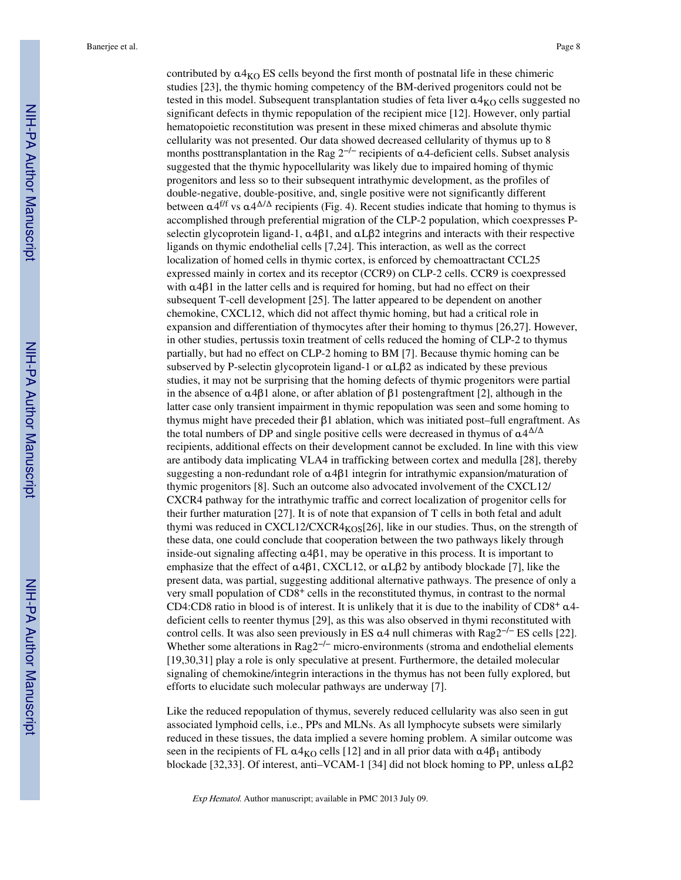contributed by  $\alpha$ 4<sub>KO</sub> ES cells beyond the first month of postnatal life in these chimeric studies [23], the thymic homing competency of the BM-derived progenitors could not be tested in this model. Subsequent transplantation studies of feta liver  $\alpha$ 4<sub>KO</sub> cells suggested no significant defects in thymic repopulation of the recipient mice [12]. However, only partial hematopoietic reconstitution was present in these mixed chimeras and absolute thymic cellularity was not presented. Our data showed decreased cellularity of thymus up to 8 months posttransplantation in the Rag  $2^{-/-}$  recipients of  $\alpha$ 4-deficient cells. Subset analysis suggested that the thymic hypocellularity was likely due to impaired homing of thymic progenitors and less so to their subsequent intrathymic development, as the profiles of double-negative, double-positive, and, single positive were not significantly different between  $\alpha$ 4<sup>f/f</sup> vs  $\alpha$ 4 $\Delta$ / $\Delta$  recipients (Fig. 4). Recent studies indicate that homing to thymus is accomplished through preferential migration of the CLP-2 population, which coexpresses Pselectin glycoprotein ligand-1,  $\alpha$ 4β1, and  $\alpha$ Lβ2 integrins and interacts with their respective ligands on thymic endothelial cells [7,24]. This interaction, as well as the correct localization of homed cells in thymic cortex, is enforced by chemoattractant CCL25 expressed mainly in cortex and its receptor (CCR9) on CLP-2 cells. CCR9 is coexpressed with  $\alpha$ 4 $\beta$ 1 in the latter cells and is required for homing, but had no effect on their subsequent T-cell development [25]. The latter appeared to be dependent on another chemokine, CXCL12, which did not affect thymic homing, but had a critical role in expansion and differentiation of thymocytes after their homing to thymus [26,27]. However, in other studies, pertussis toxin treatment of cells reduced the homing of CLP-2 to thymus partially, but had no effect on CLP-2 homing to BM [7]. Because thymic homing can be subserved by P-selectin glycoprotein ligand-1 or αLβ2 as indicated by these previous studies, it may not be surprising that the homing defects of thymic progenitors were partial in the absence of  $\alpha$ 4β1 alone, or after ablation of β1 postengraftment [2], although in the latter case only transient impairment in thymic repopulation was seen and some homing to thymus might have preceded their β1 ablation, which was initiated post–full engraftment. As the total numbers of DP and single positive cells were decreased in thymus of  $\alpha 4^{\Delta/\Delta}$ recipients, additional effects on their development cannot be excluded. In line with this view are antibody data implicating VLA4 in trafficking between cortex and medulla [28], thereby suggesting a non-redundant role of α4β1 integrin for intrathymic expansion/maturation of thymic progenitors [8]. Such an outcome also advocated involvement of the CXCL12/ CXCR4 pathway for the intrathymic traffic and correct localization of progenitor cells for their further maturation [27]. It is of note that expansion of T cells in both fetal and adult thymi was reduced in CXCL12/CXCR4 $_{KOS}$ [26], like in our studies. Thus, on the strength of these data, one could conclude that cooperation between the two pathways likely through inside-out signaling affecting  $\alpha$ 4β1, may be operative in this process. It is important to emphasize that the effect of α4β1, CXCL12, or αLβ2 by antibody blockade [7], like the present data, was partial, suggesting additional alternative pathways. The presence of only a very small population of CD8+ cells in the reconstituted thymus, in contrast to the normal CD4:CD8 ratio in blood is of interest. It is unlikely that it is due to the inability of  $CD8^+$   $\alpha$ 4deficient cells to reenter thymus [29], as this was also observed in thymi reconstituted with control cells. It was also seen previously in ES α4 null chimeras with Rag2−/− ES cells [22]. Whether some alterations in Rag2<sup>-/−</sup> micro-environments (stroma and endothelial elements [19,30,31] play a role is only speculative at present. Furthermore, the detailed molecular signaling of chemokine/integrin interactions in the thymus has not been fully explored, but efforts to elucidate such molecular pathways are underway [7].

Like the reduced repopulation of thymus, severely reduced cellularity was also seen in gut associated lymphoid cells, i.e., PPs and MLNs. As all lymphocyte subsets were similarly reduced in these tissues, the data implied a severe homing problem. A similar outcome was seen in the recipients of FL  $\alpha$ 4<sub>KO</sub> cells [12] and in all prior data with  $\alpha$ 4 $\beta$ <sub>1</sub> antibody blockade [32,33]. Of interest, anti–VCAM-1 [34] did not block homing to PP, unless αLβ2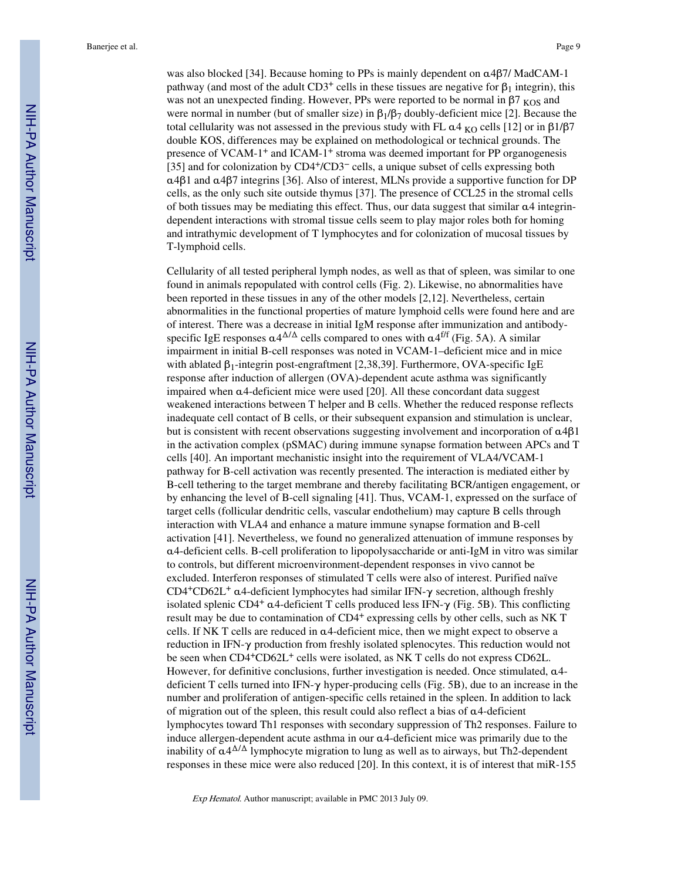was also blocked [34]. Because homing to PPs is mainly dependent on α4β7/ MadCAM-1 pathway (and most of the adult CD3<sup>+</sup> cells in these tissues are negative for  $\beta_1$  integrin), this was not an unexpected finding. However, PPs were reported to be normal in  $\beta$ 7 <sub>KOS</sub> and were normal in number (but of smaller size) in  $\beta_1/\beta_7$  doubly-deficient mice [2]. Because the total cellularity was not assessed in the previous study with FL  $\alpha$ 4 <sub>KO</sub> cells [12] or in β1/β7 double KOS, differences may be explained on methodological or technical grounds. The presence of VCAM-1+ and ICAM-1+ stroma was deemed important for PP organogenesis [35] and for colonization by CD4+/CD3− cells, a unique subset of cells expressing both α4β1 and α4β7 integrins [36]. Also of interest, MLNs provide a supportive function for DP cells, as the only such site outside thymus [37]. The presence of CCL25 in the stromal cells of both tissues may be mediating this effect. Thus, our data suggest that similar  $\alpha$ 4 integrindependent interactions with stromal tissue cells seem to play major roles both for homing and intrathymic development of T lymphocytes and for colonization of mucosal tissues by T-lymphoid cells.

Cellularity of all tested peripheral lymph nodes, as well as that of spleen, was similar to one found in animals repopulated with control cells (Fig. 2). Likewise, no abnormalities have been reported in these tissues in any of the other models [2,12]. Nevertheless, certain abnormalities in the functional properties of mature lymphoid cells were found here and are of interest. There was a decrease in initial IgM response after immunization and antibodyspecific IgE responses  $\alpha 4^{\Delta/\Delta}$  cells compared to ones with  $\alpha 4^{\text{f/f}}$  (Fig. 5A). A similar impairment in initial B-cell responses was noted in VCAM-1–deficient mice and in mice with ablated  $β_1$ -integrin post-engraftment [2,38,39]. Furthermore, OVA-specific IgE response after induction of allergen (OVA)-dependent acute asthma was significantly impaired when α4-deficient mice were used [20]. All these concordant data suggest weakened interactions between T helper and B cells. Whether the reduced response reflects inadequate cell contact of B cells, or their subsequent expansion and stimulation is unclear, but is consistent with recent observations suggesting involvement and incorporation of α4β1 in the activation complex (pSMAC) during immune synapse formation between APCs and T cells [40]. An important mechanistic insight into the requirement of VLA4/VCAM-1 pathway for B-cell activation was recently presented. The interaction is mediated either by B-cell tethering to the target membrane and thereby facilitating BCR/antigen engagement, or by enhancing the level of B-cell signaling [41]. Thus, VCAM-1, expressed on the surface of target cells (follicular dendritic cells, vascular endothelium) may capture B cells through interaction with VLA4 and enhance a mature immune synapse formation and B-cell activation [41]. Nevertheless, we found no generalized attenuation of immune responses by α4-deficient cells. B-cell proliferation to lipopolysaccharide or anti-IgM in vitro was similar to controls, but different microenvironment-dependent responses in vivo cannot be excluded. Interferon responses of stimulated T cells were also of interest. Purified naïve CD4<sup>+</sup>CD62L<sup>+</sup>  $\alpha$ 4-deficient lymphocytes had similar IFN- $\gamma$  secretion, although freshly isolated splenic CD4<sup>+</sup>  $\alpha$ 4-deficient T cells produced less IFN- $\gamma$  (Fig. 5B). This conflicting result may be due to contamination of CD4+ expressing cells by other cells, such as NK T cells. If NK T cells are reduced in  $\alpha$ 4-deficient mice, then we might expect to observe a reduction in IFN-γ production from freshly isolated splenocytes. This reduction would not be seen when CD4<sup>+</sup>CD62L<sup>+</sup> cells were isolated, as NK T cells do not express CD62L. However, for definitive conclusions, further investigation is needed. Once stimulated, α4 deficient T cells turned into IFN- $\gamma$  hyper-producing cells (Fig. 5B), due to an increase in the number and proliferation of antigen-specific cells retained in the spleen. In addition to lack of migration out of the spleen, this result could also reflect a bias of  $\alpha$ 4-deficient lymphocytes toward Th1 responses with secondary suppression of Th2 responses. Failure to induce allergen-dependent acute asthma in our α4-deficient mice was primarily due to the inability of  $\alpha$ 4<sup> $\Delta/\Delta$ </sup> lymphocyte migration to lung as well as to airways, but Th2-dependent responses in these mice were also reduced [20]. In this context, it is of interest that miR-155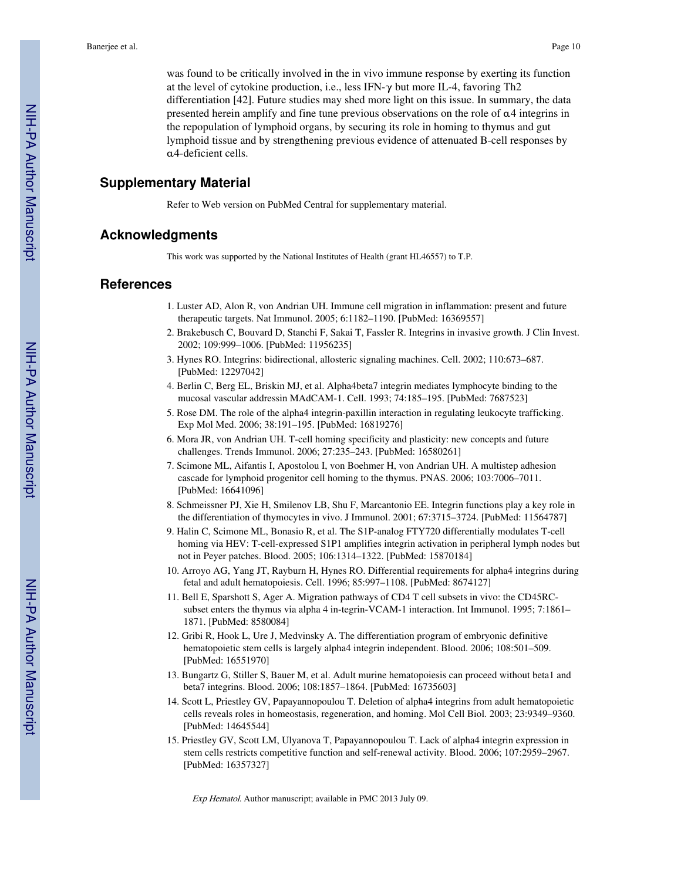was found to be critically involved in the in vivo immune response by exerting its function at the level of cytokine production, i.e., less IFN-γ but more IL-4, favoring Th2 differentiation [42]. Future studies may shed more light on this issue. In summary, the data presented herein amplify and fine tune previous observations on the role of α4 integrins in the repopulation of lymphoid organs, by securing its role in homing to thymus and gut lymphoid tissue and by strengthening previous evidence of attenuated B-cell responses by α4-deficient cells.

# **Supplementary Material**

Refer to Web version on PubMed Central for supplementary material.

#### **Acknowledgments**

This work was supported by the National Institutes of Health (grant HL46557) to T.P.

#### **References**

- 1. Luster AD, Alon R, von Andrian UH. Immune cell migration in inflammation: present and future therapeutic targets. Nat Immunol. 2005; 6:1182–1190. [PubMed: 16369557]
- 2. Brakebusch C, Bouvard D, Stanchi F, Sakai T, Fassler R. Integrins in invasive growth. J Clin Invest. 2002; 109:999–1006. [PubMed: 11956235]
- 3. Hynes RO. Integrins: bidirectional, allosteric signaling machines. Cell. 2002; 110:673–687. [PubMed: 12297042]
- 4. Berlin C, Berg EL, Briskin MJ, et al. Alpha4beta7 integrin mediates lymphocyte binding to the mucosal vascular addressin MAdCAM-1. Cell. 1993; 74:185–195. [PubMed: 7687523]
- 5. Rose DM. The role of the alpha4 integrin-paxillin interaction in regulating leukocyte trafficking. Exp Mol Med. 2006; 38:191–195. [PubMed: 16819276]
- 6. Mora JR, von Andrian UH. T-cell homing specificity and plasticity: new concepts and future challenges. Trends Immunol. 2006; 27:235–243. [PubMed: 16580261]
- 7. Scimone ML, Aifantis I, Apostolou I, von Boehmer H, von Andrian UH. A multistep adhesion cascade for lymphoid progenitor cell homing to the thymus. PNAS. 2006; 103:7006–7011. [PubMed: 16641096]
- 8. Schmeissner PJ, Xie H, Smilenov LB, Shu F, Marcantonio EE. Integrin functions play a key role in the differentiation of thymocytes in vivo. J Immunol. 2001; 67:3715–3724. [PubMed: 11564787]
- 9. Halin C, Scimone ML, Bonasio R, et al. The S1P-analog FTY720 differentially modulates T-cell homing via HEV: T-cell-expressed S1P1 amplifies integrin activation in peripheral lymph nodes but not in Peyer patches. Blood. 2005; 106:1314–1322. [PubMed: 15870184]
- 10. Arroyo AG, Yang JT, Rayburn H, Hynes RO. Differential requirements for alpha4 integrins during fetal and adult hematopoiesis. Cell. 1996; 85:997–1108. [PubMed: 8674127]
- 11. Bell E, Sparshott S, Ager A. Migration pathways of CD4 T cell subsets in vivo: the CD45RCsubset enters the thymus via alpha 4 in-tegrin-VCAM-1 interaction. Int Immunol. 1995; 7:1861– 1871. [PubMed: 8580084]
- 12. Gribi R, Hook L, Ure J, Medvinsky A. The differentiation program of embryonic definitive hematopoietic stem cells is largely alpha4 integrin independent. Blood. 2006; 108:501–509. [PubMed: 16551970]
- 13. Bungartz G, Stiller S, Bauer M, et al. Adult murine hematopoiesis can proceed without beta1 and beta7 integrins. Blood. 2006; 108:1857–1864. [PubMed: 16735603]
- 14. Scott L, Priestley GV, Papayannopoulou T. Deletion of alpha4 integrins from adult hematopoietic cells reveals roles in homeostasis, regeneration, and homing. Mol Cell Biol. 2003; 23:9349–9360. [PubMed: 14645544]
- 15. Priestley GV, Scott LM, Ulyanova T, Papayannopoulou T. Lack of alpha4 integrin expression in stem cells restricts competitive function and self-renewal activity. Blood. 2006; 107:2959–2967. [PubMed: 16357327]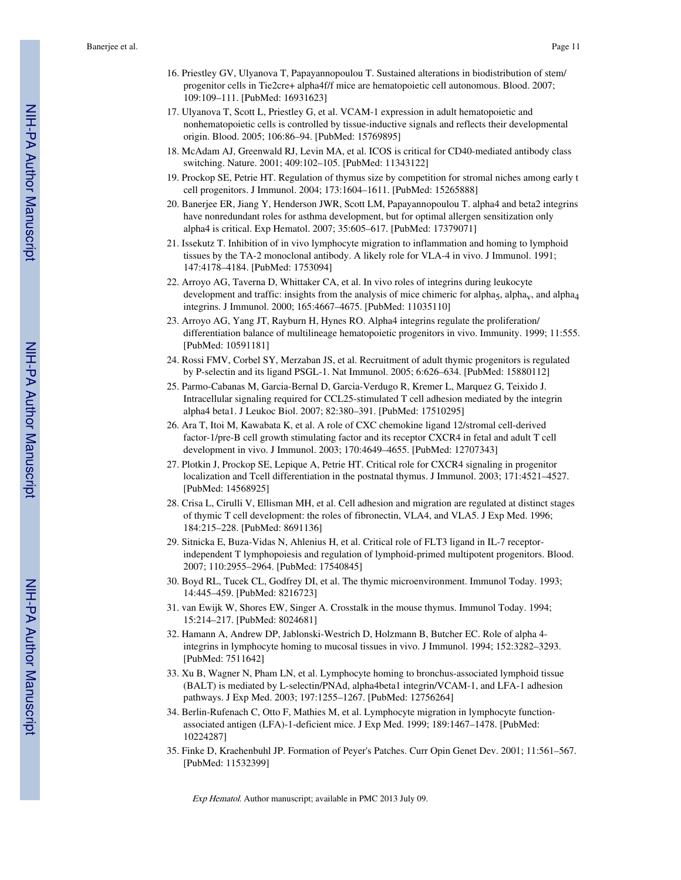- 16. Priestley GV, Ulyanova T, Papayannopoulou T. Sustained alterations in biodistribution of stem/ progenitor cells in Tie2cre+ alpha4f/f mice are hematopoietic cell autonomous. Blood. 2007; 109:109–111. [PubMed: 16931623]
- 17. Ulyanova T, Scott L, Priestley G, et al. VCAM-1 expression in adult hematopoietic and nonhematopoietic cells is controlled by tissue-inductive signals and reflects their developmental origin. Blood. 2005; 106:86–94. [PubMed: 15769895]
- 18. McAdam AJ, Greenwald RJ, Levin MA, et al. ICOS is critical for CD40-mediated antibody class switching. Nature. 2001; 409:102–105. [PubMed: 11343122]
- 19. Prockop SE, Petrie HT. Regulation of thymus size by competition for stromal niches among early t cell progenitors. J Immunol. 2004; 173:1604–1611. [PubMed: 15265888]
- 20. Banerjee ER, Jiang Y, Henderson JWR, Scott LM, Papayannopoulou T. alpha4 and beta2 integrins have nonredundant roles for asthma development, but for optimal allergen sensitization only alpha4 is critical. Exp Hematol. 2007; 35:605–617. [PubMed: 17379071]
- 21. Issekutz T. Inhibition of in vivo lymphocyte migration to inflammation and homing to lymphoid tissues by the TA-2 monoclonal antibody. A likely role for VLA-4 in vivo. J Immunol. 1991; 147:4178–4184. [PubMed: 1753094]
- 22. Arroyo AG, Taverna D, Whittaker CA, et al. In vivo roles of integrins during leukocyte development and traffic: insights from the analysis of mice chimeric for alpha<sub>5</sub>, alpha<sub>y</sub>, and alpha<sub>4</sub> integrins. J Immunol. 2000; 165:4667–4675. [PubMed: 11035110]
- 23. Arroyo AG, Yang JT, Rayburn H, Hynes RO. Alpha4 integrins regulate the proliferation/ differentiation balance of multilineage hematopoietic progenitors in vivo. Immunity. 1999; 11:555. [PubMed: 10591181]
- 24. Rossi FMV, Corbel SY, Merzaban JS, et al. Recruitment of adult thymic progenitors is regulated by P-selectin and its ligand PSGL-1. Nat Immunol. 2005; 6:626–634. [PubMed: 15880112]
- 25. Parmo-Cabanas M, Garcia-Bernal D, Garcia-Verdugo R, Kremer L, Marquez G, Teixido J. Intracellular signaling required for CCL25-stimulated T cell adhesion mediated by the integrin alpha4 beta1. J Leukoc Biol. 2007; 82:380–391. [PubMed: 17510295]
- 26. Ara T, Itoi M, Kawabata K, et al. A role of CXC chemokine ligand 12/stromal cell-derived factor-1/pre-B cell growth stimulating factor and its receptor CXCR4 in fetal and adult T cell development in vivo. J Immunol. 2003; 170:4649–4655. [PubMed: 12707343]
- 27. Plotkin J, Prockop SE, Lepique A, Petrie HT. Critical role for CXCR4 signaling in progenitor localization and Tcell differentiation in the postnatal thymus. J Immunol. 2003; 171:4521–4527. [PubMed: 14568925]
- 28. Crisa L, Cirulli V, Ellisman MH, et al. Cell adhesion and migration are regulated at distinct stages of thymic T cell development: the roles of fibronectin, VLA4, and VLA5. J Exp Med. 1996; 184:215–228. [PubMed: 8691136]
- 29. Sitnicka E, Buza-Vidas N, Ahlenius H, et al. Critical role of FLT3 ligand in IL-7 receptorindependent T lymphopoiesis and regulation of lymphoid-primed multipotent progenitors. Blood. 2007; 110:2955–2964. [PubMed: 17540845]
- 30. Boyd RL, Tucek CL, Godfrey DI, et al. The thymic microenvironment. Immunol Today. 1993; 14:445–459. [PubMed: 8216723]
- 31. van Ewijk W, Shores EW, Singer A. Crosstalk in the mouse thymus. Immunol Today. 1994; 15:214–217. [PubMed: 8024681]
- 32. Hamann A, Andrew DP, Jablonski-Westrich D, Holzmann B, Butcher EC. Role of alpha 4 integrins in lymphocyte homing to mucosal tissues in vivo. J Immunol. 1994; 152:3282–3293. [PubMed: 7511642]
- 33. Xu B, Wagner N, Pham LN, et al. Lymphocyte homing to bronchus-associated lymphoid tissue (BALT) is mediated by L-selectin/PNAd, alpha4beta1 integrin/VCAM-1, and LFA-1 adhesion pathways. J Exp Med. 2003; 197:1255–1267. [PubMed: 12756264]
- 34. Berlin-Rufenach C, Otto F, Mathies M, et al. Lymphocyte migration in lymphocyte functionassociated antigen (LFA)-1-deficient mice. J Exp Med. 1999; 189:1467–1478. [PubMed: 10224287]
- 35. Finke D, Kraehenbuhl JP. Formation of Peyer's Patches. Curr Opin Genet Dev. 2001; 11:561–567. [PubMed: 11532399]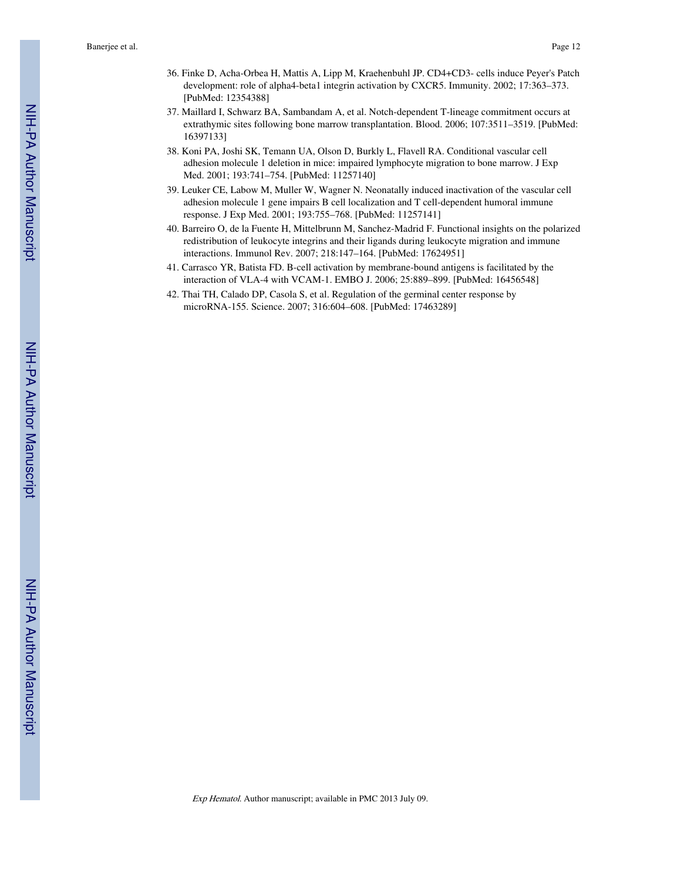- 36. Finke D, Acha-Orbea H, Mattis A, Lipp M, Kraehenbuhl JP. CD4+CD3- cells induce Peyer's Patch development: role of alpha4-beta1 integrin activation by CXCR5. Immunity. 2002; 17:363–373. [PubMed: 12354388]
- 37. Maillard I, Schwarz BA, Sambandam A, et al. Notch-dependent T-lineage commitment occurs at extrathymic sites following bone marrow transplantation. Blood. 2006; 107:3511–3519. [PubMed: 16397133]
- 38. Koni PA, Joshi SK, Temann UA, Olson D, Burkly L, Flavell RA. Conditional vascular cell adhesion molecule 1 deletion in mice: impaired lymphocyte migration to bone marrow. J Exp Med. 2001; 193:741–754. [PubMed: 11257140]
- 39. Leuker CE, Labow M, Muller W, Wagner N. Neonatally induced inactivation of the vascular cell adhesion molecule 1 gene impairs B cell localization and T cell-dependent humoral immune response. J Exp Med. 2001; 193:755–768. [PubMed: 11257141]
- 40. Barreiro O, de la Fuente H, Mittelbrunn M, Sanchez-Madrid F. Functional insights on the polarized redistribution of leukocyte integrins and their ligands during leukocyte migration and immune interactions. Immunol Rev. 2007; 218:147–164. [PubMed: 17624951]
- 41. Carrasco YR, Batista FD. B-cell activation by membrane-bound antigens is facilitated by the interaction of VLA-4 with VCAM-1. EMBO J. 2006; 25:889–899. [PubMed: 16456548]
- 42. Thai TH, Calado DP, Casola S, et al. Regulation of the germinal center response by microRNA-155. Science. 2007; 316:604–608. [PubMed: 17463289]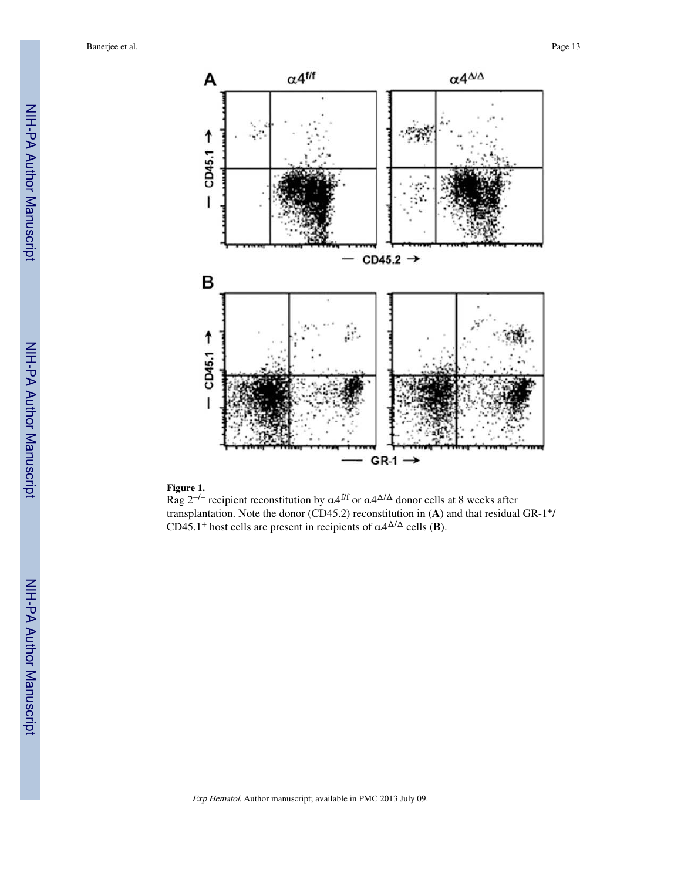

#### **Figure 1.**

Rag 2<sup>-/-</sup> recipient reconstitution by  $\alpha$ 4<sup>f/f</sup> or  $\alpha$ 4<sup> $\Delta/\Delta$ </sup> donor cells at 8 weeks after transplantation. Note the donor (CD45.2) reconstitution in  $(A)$  and that residual GR-1<sup>+</sup>/ CD45.1<sup>+</sup> host cells are present in recipients of  $\alpha 4^{\Delta/\Delta}$  cells (**B**).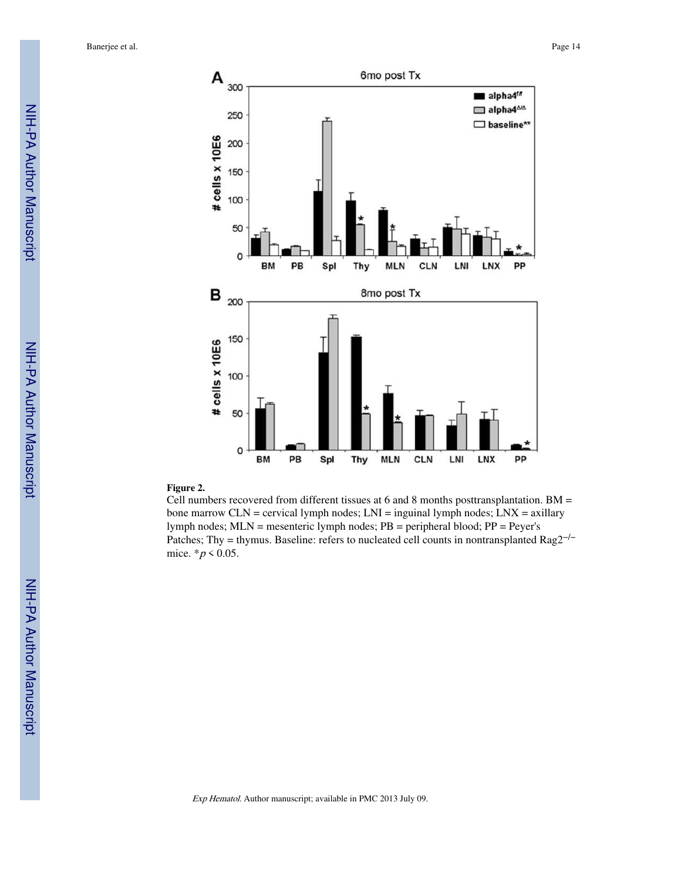

#### **Figure 2.**

Cell numbers recovered from different tissues at 6 and 8 months posttransplantation. BM = bone marrow CLN = cervical lymph nodes; LNI = inguinal lymph nodes; LNX = axillary lymph nodes; MLN = mesenteric lymph nodes; PB = peripheral blood; PP = Peyer's Patches; Thy = thymus. Baseline: refers to nucleated cell counts in nontransplanted Rag2<sup>−/−</sup> mice.  $* p < 0.05$ .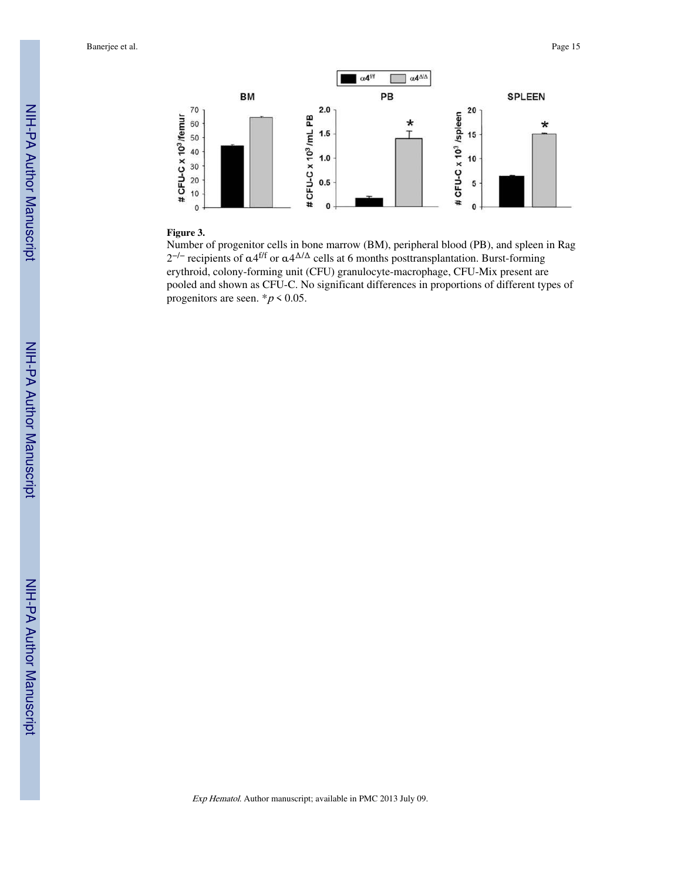

#### **Figure 3.**

Number of progenitor cells in bone marrow (BM), peripheral blood (PB), and spleen in Rag  $2^{-/-}$  recipients of α4<sup>f/f</sup> or α4<sup>Δ/Δ</sup> cells at 6 months posttransplantation. Burst-forming erythroid, colony-forming unit (CFU) granulocyte-macrophage, CFU-Mix present are pooled and shown as CFU-C. No significant differences in proportions of different types of progenitors are seen.  $p < 0.05$ .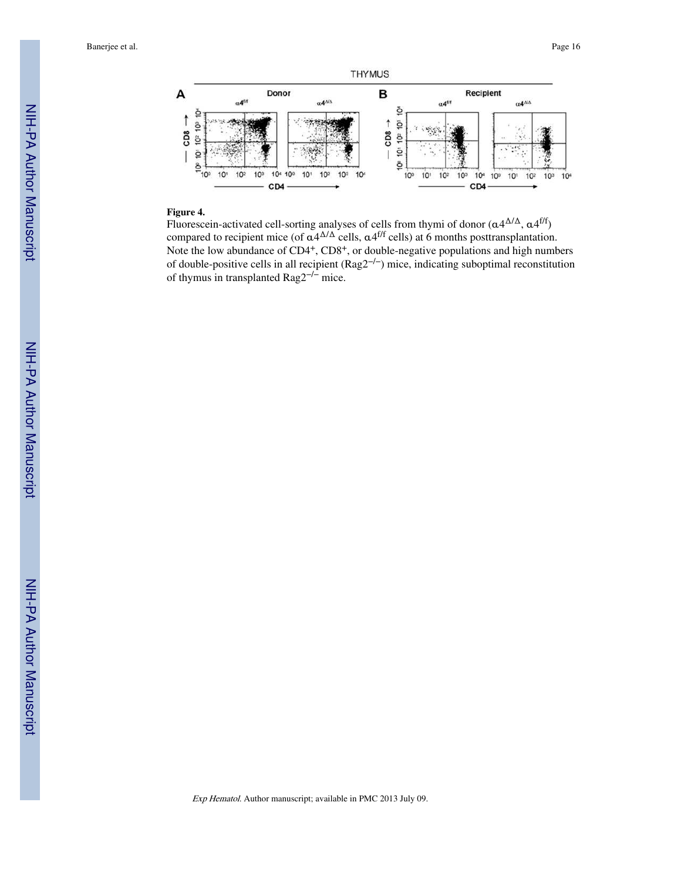

#### **Figure 4.**

Fluorescein-activated cell-sorting analyses of cells from thymi of donor  $(\alpha 4^{\Delta/\Delta}, \alpha 4^{\text{ff}})$ compared to recipient mice (of  $\alpha$ 4<sup> $\Delta/\Delta$ </sup> cells,  $\alpha$ 4<sup>f/f</sup> cells) at 6 months posttransplantation. Note the low abundance of CD4<sup>+</sup>, CD8<sup>+</sup>, or double-negative populations and high numbers of double-positive cells in all recipient (Rag2<sup>−/−</sup>) mice, indicating suboptimal reconstitution of thymus in transplanted Rag2−/− mice.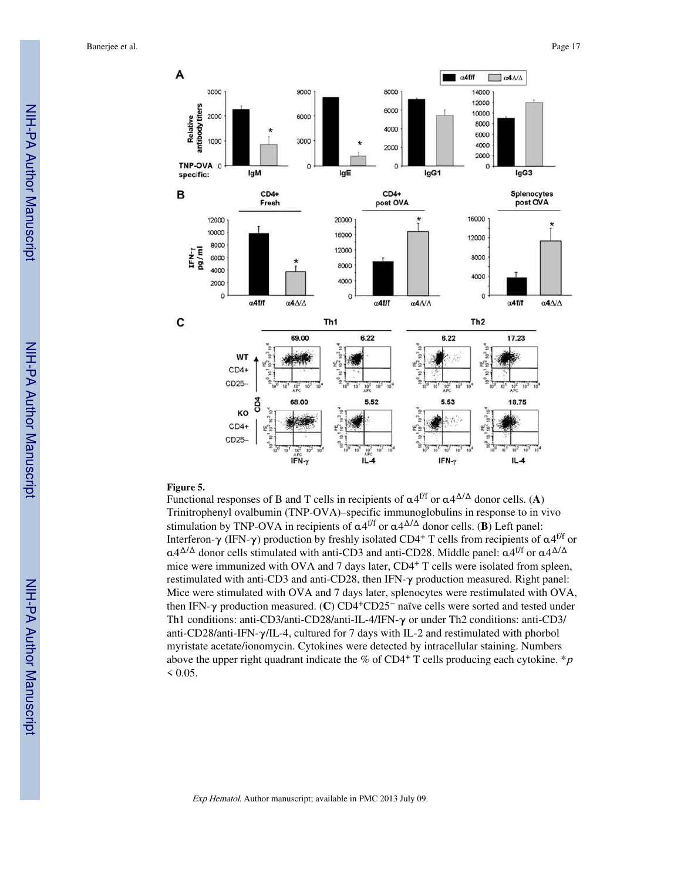

#### **Figure 5.**

Functional responses of B and T cells in recipients of α4 f/f or α4 <sup>Δ</sup>/Δ donor cells. (**A**) Trinitrophenyl ovalbumin (TNP-OVA)–specific immunoglobulins in response to in vivo stimulation by TNP-OVA in recipients of  $\alpha$ 4<sup>f/f</sup> or  $\alpha$ 4<sup> $\Delta/\Delta$ </sup> donor cells. (**B**) Left panel: Interferon-γ (IFN-γ) production by freshly isolated CD4<sup>+</sup> T cells from recipients of  $\alpha$ 4<sup>f/f</sup> or  $\alpha$ 4<sup> $\Delta/\Delta$ </sup> donor cells stimulated with anti-CD3 and anti-CD28. Middle panel:  $\alpha$ 4<sup>f/f</sup> or  $\alpha$ 4 $\Delta/\Delta$ mice were immunized with OVA and 7 days later, CD4<sup>+</sup> T cells were isolated from spleen, restimulated with anti-CD3 and anti-CD28, then IFN-γ production measured. Right panel: Mice were stimulated with OVA and 7 days later, splenocytes were restimulated with OVA, then IFN-γ production measured. (**C**) CD4+CD25− naïve cells were sorted and tested under Th1 conditions: anti-CD3/anti-CD28/anti-IL-4/IFN-γ or under Th2 conditions: anti-CD3/ anti-CD28/anti-IFN-γ/IL-4, cultured for 7 days with IL-2 and restimulated with phorbol myristate acetate/ionomycin. Cytokines were detected by intracellular staining. Numbers above the upper right quadrant indicate the % of CD4<sup>+</sup> T cells producing each cytokine. \*p  $< 0.05$ .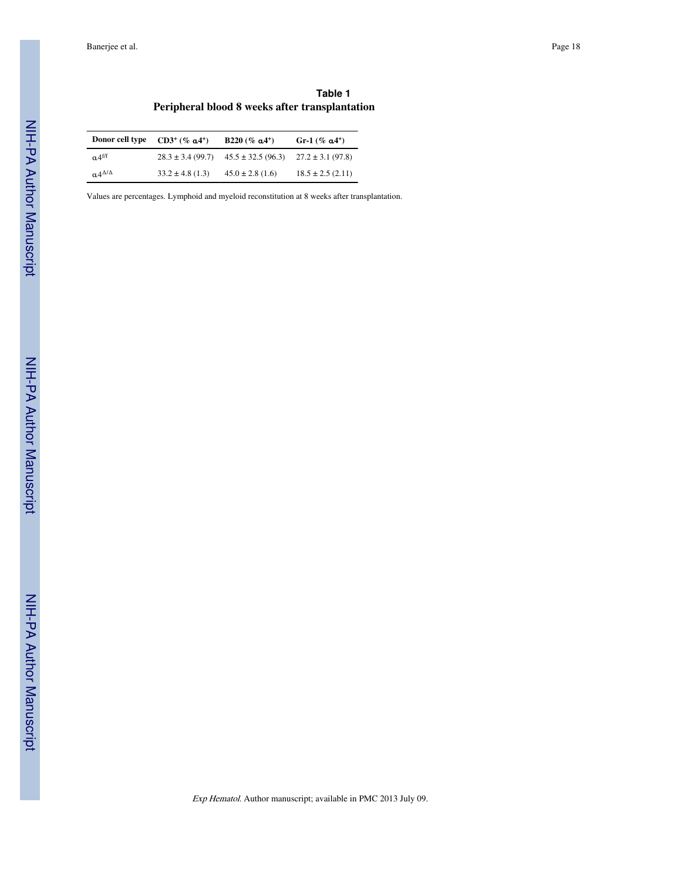|  |                                                |  | Table 1 |  |
|--|------------------------------------------------|--|---------|--|
|  | Peripheral blood 8 weeks after transplantation |  |         |  |

| Donor cell type       | $CD3^+($ % $a4^+)$    | B220 (% $a4^+$ )       | Gr-1 (% $a4^+$ )      |
|-----------------------|-----------------------|------------------------|-----------------------|
| a 4 <sup>f/f</sup>    | $28.3 \pm 3.4$ (99.7) | $45.5 \pm 32.5$ (96.3) | $27.2 \pm 3.1$ (97.8) |
| $0.4^{\Delta/\Delta}$ | $33.2 \pm 4.8$ (1.3)  | $45.0 \pm 2.8$ (1.6)   | $18.5 \pm 2.5$ (2.11) |

Values are percentages. Lymphoid and myeloid reconstitution at 8 weeks after transplantation.